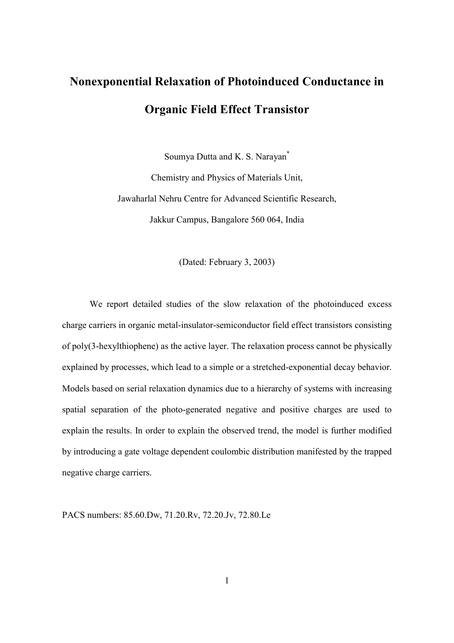## **Nonexponential Relaxation of Photoinduced Conductance in Organic Field Effect Transistor**

Soumya Dutta and K. S. Narayan\* Chemistry and Physics of Materials Unit, Jawaharlal Nehru Centre for Advanced Scientific Research, Jakkur Campus, Bangalore 560 064, India

(Dated: February 3, 2003)

We report detailed studies of the slow relaxation of the photoinduced excess charge carriers in organic metal-insulator-semiconductor field effect transistors consisting of poly(3-hexylthiophene) as the active layer. The relaxation process cannot be physically explained by processes, which lead to a simple or a stretched-exponential decay behavior. Models based on serial relaxation dynamics due to a hierarchy of systems with increasing spatial separation of the photo-generated negative and positive charges are used to explain the results. In order to explain the observed trend, the model is further modified by introducing a gate voltage dependent coulombic distribution manifested by the trapped negative charge carriers.

PACS numbers: 85.60.Dw, 71.20.Rv, 72.20.Jv, 72.80.Le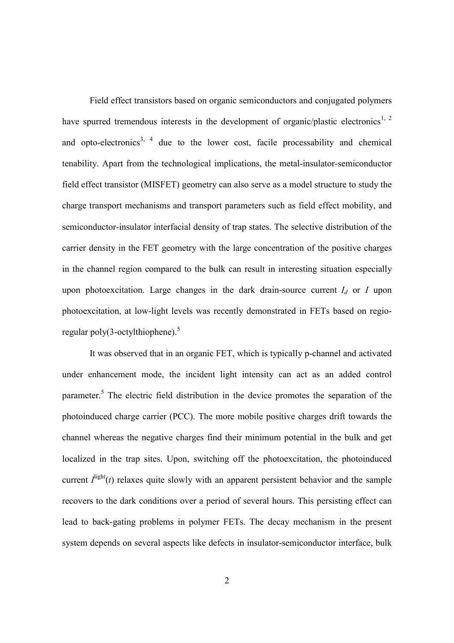Field effect transistors based on organic semiconductors and conjugated polymers have spurred tremendous interests in the development of organic/plastic electronics<sup>1, 2</sup> and opto-electronics<sup>3, 4</sup> due to the lower cost, facile processability and chemical tenability. Apart from the technological implications, the metal-insulator-semiconductor field effect transistor (MISFET) geometry can also serve as a model structure to study the charge transport mechanisms and transport parameters such as field effect mobility, and semiconductor-insulator interfacial density of trap states. The selective distribution of the carrier density in the FET geometry with the large concentration of the positive charges in the channel region compared to the bulk can result in interesting situation especially upon photoexcitation. Large changes in the dark drain-source current  $I_d$  or *I* upon photoexcitation, at low-light levels was recently demonstrated in FETs based on regioregular poly(3-octylthiophene).<sup>5</sup>

It was observed that in an organic FET, which is typically p-channel and activated under enhancement mode, the incident light intensity can act as an added control parameter.<sup>5</sup> The electric field distribution in the device promotes the separation of the photoinduced charge carrier (PCC). The more mobile positive charges drift towards the channel whereas the negative charges find their minimum potential in the bulk and get localized in the trap sites. Upon, switching off the photoexcitation, the photoinduced current  $I<sup>light</sup>(t)$  relaxes quite slowly with an apparent persistent behavior and the sample recovers to the dark conditions over a period of several hours. This persisting effect can lead to back-gating problems in polymer FETs. The decay mechanism in the present system depends on several aspects like defects in insulator-semiconductor interface, bulk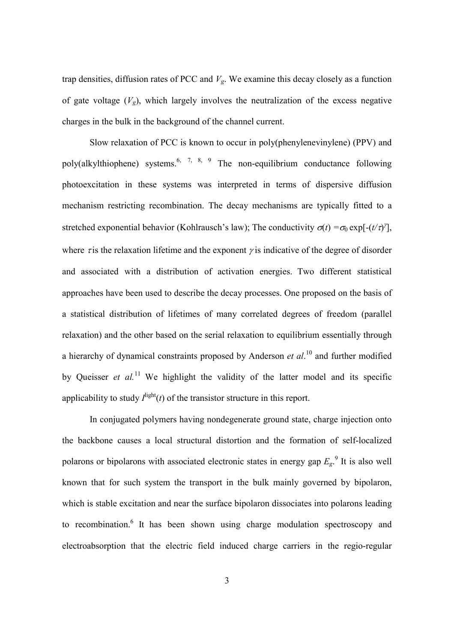trap densities, diffusion rates of PCC and  $V_g$ . We examine this decay closely as a function of gate voltage  $(V_g)$ , which largely involves the neutralization of the excess negative charges in the bulk in the background of the channel current.

Slow relaxation of PCC is known to occur in poly(phenylenevinylene) (PPV) and poly(alkylthiophene) systems.<sup>6, 7, 8, 9</sup> The non-equilibrium conductance following photoexcitation in these systems was interpreted in terms of dispersive diffusion mechanism restricting recombination. The decay mechanisms are typically fitted to a stretched exponential behavior (Kohlrausch's law); The conductivity  $\sigma(t) = \sigma_0 \exp[-(t/\tau)^2]$ , where  $\tau$  is the relaxation lifetime and the exponent  $\gamma$  is indicative of the degree of disorder and associated with a distribution of activation energies. Two different statistical approaches have been used to describe the decay processes. One proposed on the basis of a statistical distribution of lifetimes of many correlated degrees of freedom (parallel relaxation) and the other based on the serial relaxation to equilibrium essentially through a hierarchy of dynamical constraints proposed by Anderson *et al*. <sup>10</sup> and further modified by Queisser *et al.*<sup>11</sup> We highlight the validity of the latter model and its specific applicability to study  $I^{\text{light}}(t)$  of the transistor structure in this report.

In conjugated polymers having nondegenerate ground state, charge injection onto the backbone causes a local structural distortion and the formation of self-localized polarons or bipolarons with associated electronic states in energy gap  $E<sub>g</sub>$ .<sup>9</sup> It is also well known that for such system the transport in the bulk mainly governed by bipolaron, which is stable excitation and near the surface bipolaron dissociates into polarons leading to recombination.<sup>6</sup> It has been shown using charge modulation spectroscopy and electroabsorption that the electric field induced charge carriers in the regio-regular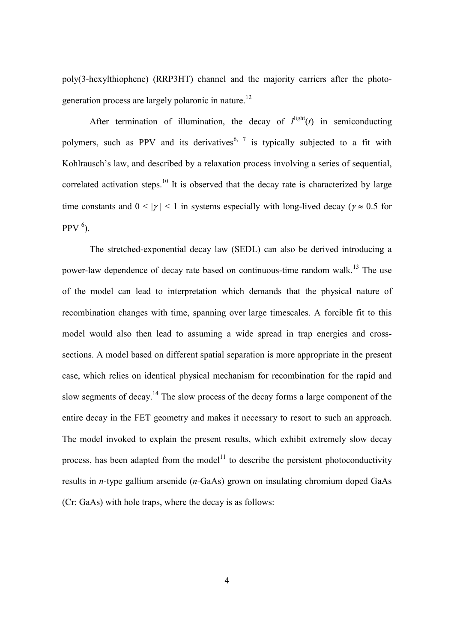poly(3-hexylthiophene) (RRP3HT) channel and the majority carriers after the photogeneration process are largely polaronic in nature.<sup>12</sup>

After termination of illumination, the decay of  $I^{\text{light}}(t)$  in semiconducting polymers, such as PPV and its derivatives<sup>6, 7</sup> is typically subjected to a fit with Kohlrausch's law, and described by a relaxation process involving a series of sequential, correlated activation steps.<sup>10</sup> It is observed that the decay rate is characterized by large time constants and  $0 \le |y| \le 1$  in systems especially with long-lived decay ( $y \approx 0.5$  for  $PPV$ <sup>6</sup>).

The stretched-exponential decay law (SEDL) can also be derived introducing a power-law dependence of decay rate based on continuous-time random walk.<sup>13</sup> The use of the model can lead to interpretation which demands that the physical nature of recombination changes with time, spanning over large timescales. A forcible fit to this model would also then lead to assuming a wide spread in trap energies and crosssections. A model based on different spatial separation is more appropriate in the present case, which relies on identical physical mechanism for recombination for the rapid and slow segments of decay.<sup>14</sup> The slow process of the decay forms a large component of the entire decay in the FET geometry and makes it necessary to resort to such an approach. The model invoked to explain the present results, which exhibit extremely slow decay process, has been adapted from the model<sup>11</sup> to describe the persistent photoconductivity results in *n*-type gallium arsenide (*n-*GaAs) grown on insulating chromium doped GaAs (Cr: GaAs) with hole traps, where the decay is as follows: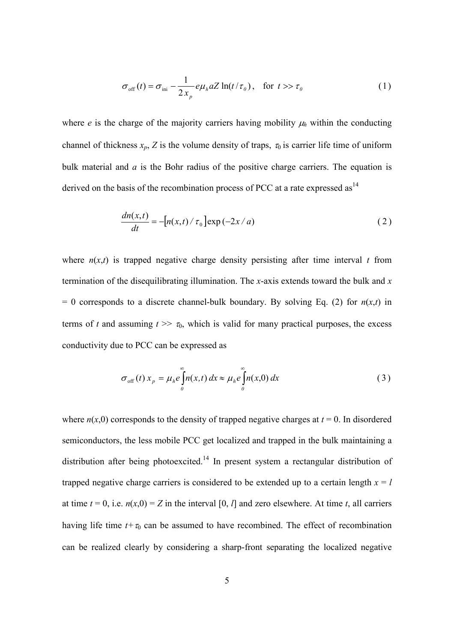$$
\sigma_{\text{off}}(t) = \sigma_{\text{ini}} - \frac{1}{2x_p} e\mu_h a Z \ln(t/\tau_0), \quad \text{for } t \gg \tau_0
$$
 (1)

where *e* is the charge of the majority carriers having mobility  $\mu_h$  within the conducting channel of thickness  $x_p$ , Z is the volume density of traps,  $\tau_0$  is carrier life time of uniform bulk material and *a* is the Bohr radius of the positive charge carriers. The equation is derived on the basis of the recombination process of PCC at a rate expressed as  $14$ 

$$
\frac{dn(x,t)}{dt} = -\left[n(x,t)/\tau_0\right] \exp(-2x/a) \tag{2}
$$

where  $n(x,t)$  is trapped negative charge density persisting after time interval *t* from termination of the disequilibrating illumination. The *x*-axis extends toward the bulk and *x*  $= 0$  corresponds to a discrete channel-bulk boundary. By solving Eq. (2) for  $n(x,t)$  in terms of *t* and assuming  $t \gg \tau_0$ , which is valid for many practical purposes, the excess conductivity due to PCC can be expressed as

$$
\sigma_{\text{off}}(t) x_p = \mu_h e \int_0^\infty n(x, t) dx \approx \mu_h e \int_0^\infty n(x, 0) dx \tag{3}
$$

where  $n(x,0)$  corresponds to the density of trapped negative charges at  $t = 0$ . In disordered semiconductors, the less mobile PCC get localized and trapped in the bulk maintaining a distribution after being photoexcited.<sup>14</sup> In present system a rectangular distribution of trapped negative charge carriers is considered to be extended up to a certain length  $x = l$ at time  $t = 0$ , i.e.  $n(x,0) = Z$  in the interval [0, *l*] and zero elsewhere. At time *t*, all carriers having life time  $t+\tau_0$  can be assumed to have recombined. The effect of recombination can be realized clearly by considering a sharp-front separating the localized negative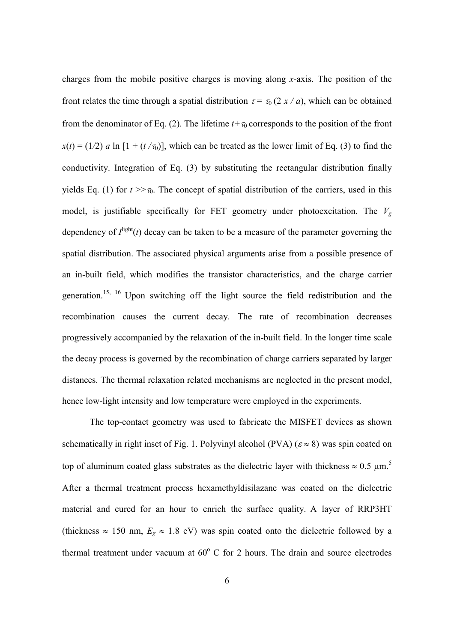charges from the mobile positive charges is moving along *x*-axis. The position of the front relates the time through a spatial distribution  $\tau = \tau_0(2 x / a)$ , which can be obtained from the denominator of Eq. (2). The lifetime  $t+\tau_0$  corresponds to the position of the front  $x(t) = (1/2)$  *a* ln  $[1 + (t/\tau_0)]$ , which can be treated as the lower limit of Eq. (3) to find the conductivity. Integration of Eq. (3) by substituting the rectangular distribution finally yields Eq. (1) for  $t \gg \tau_0$ . The concept of spatial distribution of the carriers, used in this model, is justifiable specifically for FET geometry under photoexcitation. The  $V_g$ dependency of  $I^{\text{light}}(t)$  decay can be taken to be a measure of the parameter governing the spatial distribution. The associated physical arguments arise from a possible presence of an in-built field, which modifies the transistor characteristics, and the charge carrier generation.15, 16 Upon switching off the light source the field redistribution and the recombination causes the current decay. The rate of recombination decreases progressively accompanied by the relaxation of the in-built field. In the longer time scale the decay process is governed by the recombination of charge carriers separated by larger distances. The thermal relaxation related mechanisms are neglected in the present model, hence low-light intensity and low temperature were employed in the experiments.

The top-contact geometry was used to fabricate the MISFET devices as shown schematically in right inset of Fig. 1. Polyvinyl alcohol (PVA) ( $\varepsilon \approx 8$ ) was spin coated on top of aluminum coated glass substrates as the dielectric layer with thickness  $\approx 0.5 \mu m$ .<sup>5</sup> After a thermal treatment process hexamethyldisilazane was coated on the dielectric material and cured for an hour to enrich the surface quality. A layer of RRP3HT (thickness  $\approx 150$  nm,  $E_g \approx 1.8$  eV) was spin coated onto the dielectric followed by a thermal treatment under vacuum at  $60^{\circ}$  C for 2 hours. The drain and source electrodes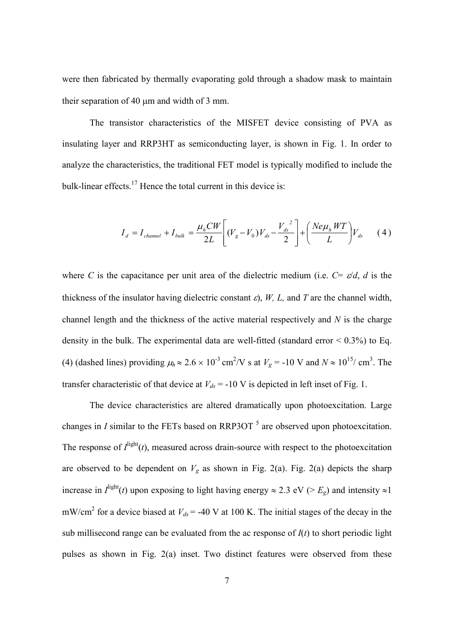were then fabricated by thermally evaporating gold through a shadow mask to maintain their separation of 40  $\mu$ m and width of 3 mm.

The transistor characteristics of the MISFET device consisting of PVA as insulating layer and RRP3HT as semiconducting layer, is shown in Fig. 1. In order to analyze the characteristics, the traditional FET model is typically modified to include the bulk-linear effects.<sup>17</sup> Hence the total current in this device is:

$$
I_d = I_{channel} + I_{bulk} = \frac{\mu_h CW}{2L} \left[ (V_g - V_0) V_{ds} - \frac{V_{ds}^2}{2} \right] + \left( \frac{Ne\mu_h WT}{L} \right) V_{ds} \tag{4}
$$

where *C* is the capacitance per unit area of the dielectric medium (i.e.  $C = \varepsilon/d$ , *d* is the thickness of the insulator having dielectric constant  $\varepsilon$ ), *W*, *L*, and *T* are the channel width, channel length and the thickness of the active material respectively and *N* is the charge density in the bulk. The experimental data are well-fitted (standard error  $\leq 0.3\%$ ) to Eq. (4) (dashed lines) providing  $\mu_h \approx 2.6 \times 10^{-3}$  cm<sup>2</sup>/V s at  $V_g = -10$  V and  $N \approx 10^{15}$ / cm<sup>3</sup>. The transfer characteristic of that device at  $V_{ds}$  = -10 V is depicted in left inset of Fig. 1.

The device characteristics are altered dramatically upon photoexcitation. Large changes in  $I$  similar to the FETs based on RRP3OT  $<sup>5</sup>$  are observed upon photoexcitation.</sup> The response of  $I^{\text{light}}(t)$ , measured across drain-source with respect to the photoexcitation are observed to be dependent on  $V_g$  as shown in Fig. 2(a). Fig. 2(a) depicts the sharp increase in  $I^{\text{light}}(t)$  upon exposing to light having energy  $\approx 2.3$  eV ( $>E_g$ ) and intensity  $\approx 1$ mW/cm<sup>2</sup> for a device biased at  $V_{ds}$  = -40 V at 100 K. The initial stages of the decay in the sub millisecond range can be evaluated from the ac response of  $I(t)$  to short periodic light pulses as shown in Fig. 2(a) inset. Two distinct features were observed from these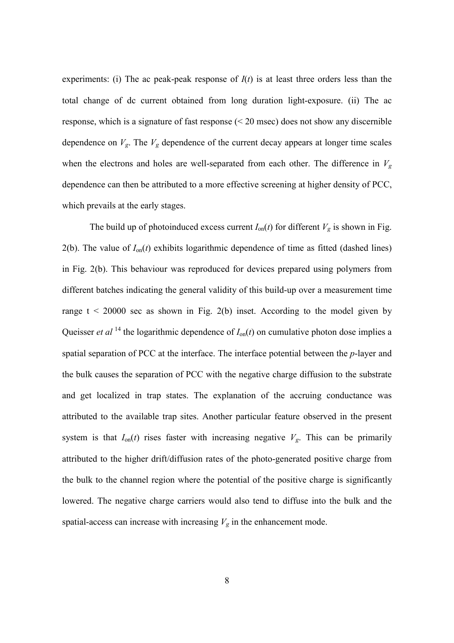experiments: (i) The ac peak-peak response of  $I(t)$  is at least three orders less than the total change of dc current obtained from long duration light-exposure. (ii) The ac response, which is a signature of fast response (< 20 msec) does not show any discernible dependence on  $V_g$ . The  $V_g$  dependence of the current decay appears at longer time scales when the electrons and holes are well-separated from each other. The difference in  $V_g$ dependence can then be attributed to a more effective screening at higher density of PCC, which prevails at the early stages.

The build up of photoinduced excess current  $I_{on}(t)$  for different  $V_g$  is shown in Fig. 2(b). The value of  $I_{on}(t)$  exhibits logarithmic dependence of time as fitted (dashed lines) in Fig. 2(b). This behaviour was reproduced for devices prepared using polymers from different batches indicating the general validity of this build-up over a measurement time range  $t < 20000$  sec as shown in Fig. 2(b) inset. According to the model given by Queisser *et al* <sup>14</sup> the logarithmic dependence of  $I_{on}(t)$  on cumulative photon dose implies a spatial separation of PCC at the interface. The interface potential between the *p*-layer and the bulk causes the separation of PCC with the negative charge diffusion to the substrate and get localized in trap states. The explanation of the accruing conductance was attributed to the available trap sites. Another particular feature observed in the present system is that  $I_{on}(t)$  rises faster with increasing negative  $V_g$ . This can be primarily attributed to the higher drift/diffusion rates of the photo-generated positive charge from the bulk to the channel region where the potential of the positive charge is significantly lowered. The negative charge carriers would also tend to diffuse into the bulk and the spatial-access can increase with increasing  $V_g$  in the enhancement mode.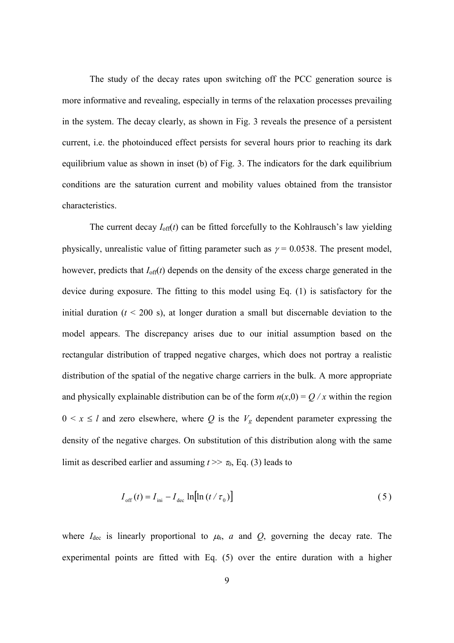The study of the decay rates upon switching off the PCC generation source is more informative and revealing, especially in terms of the relaxation processes prevailing in the system. The decay clearly, as shown in Fig. 3 reveals the presence of a persistent current, i.e. the photoinduced effect persists for several hours prior to reaching its dark equilibrium value as shown in inset (b) of Fig. 3. The indicators for the dark equilibrium conditions are the saturation current and mobility values obtained from the transistor characteristics.

The current decay  $I_{\text{off}}(t)$  can be fitted forcefully to the Kohlrausch's law yielding physically, unrealistic value of fitting parameter such as  $\gamma = 0.0538$ . The present model, however, predicts that  $I_{off}(t)$  depends on the density of the excess charge generated in the device during exposure. The fitting to this model using Eq. (1) is satisfactory for the initial duration  $(t < 200 \text{ s})$ , at longer duration a small but discernable deviation to the model appears. The discrepancy arises due to our initial assumption based on the rectangular distribution of trapped negative charges, which does not portray a realistic distribution of the spatial of the negative charge carriers in the bulk. A more appropriate and physically explainable distribution can be of the form  $n(x,0) = Q/x$  within the region  $0 \le x \le l$  and zero elsewhere, where Q is the  $V_g$  dependent parameter expressing the density of the negative charges. On substitution of this distribution along with the same limit as described earlier and assuming  $t \gg \tau_0$ , Eq. (3) leads to

$$
I_{\text{off}}(t) = I_{\text{ini}} - I_{\text{dec}} \ln[\ln(t / \tau_0)] \tag{5}
$$

where  $I_{\text{dec}}$  is linearly proportional to  $\mu_h$ , *a* and *Q*, governing the decay rate. The experimental points are fitted with Eq. (5) over the entire duration with a higher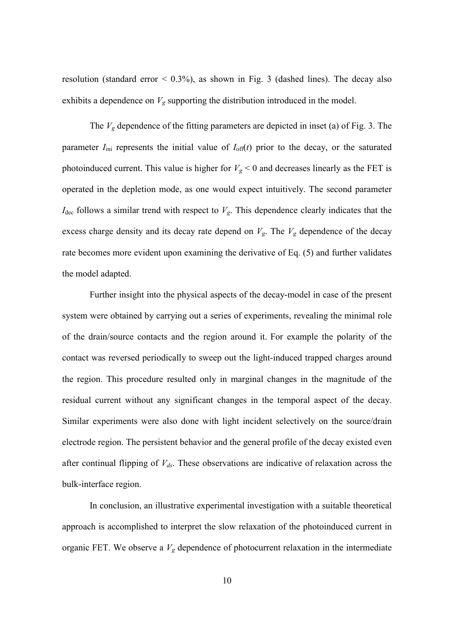resolution (standard error  $\leq$  0.3%), as shown in Fig. 3 (dashed lines). The decay also exhibits a dependence on *Vg* supporting the distribution introduced in the model.

The  $V_g$  dependence of the fitting parameters are depicted in inset (a) of Fig. 3. The parameter  $I_{\text{ini}}$  represents the initial value of  $I_{\text{off}}(t)$  prior to the decay, or the saturated photoinduced current. This value is higher for  $V_g < 0$  and decreases linearly as the FET is operated in the depletion mode, as one would expect intuitively. The second parameter  $I_{\text{dec}}$  follows a similar trend with respect to  $V_g$ . This dependence clearly indicates that the excess charge density and its decay rate depend on  $V_g$ . The  $V_g$  dependence of the decay rate becomes more evident upon examining the derivative of Eq. (5) and further validates the model adapted.

Further insight into the physical aspects of the decay-model in case of the present system were obtained by carrying out a series of experiments, revealing the minimal role of the drain/source contacts and the region around it. For example the polarity of the contact was reversed periodically to sweep out the light-induced trapped charges around the region. This procedure resulted only in marginal changes in the magnitude of the residual current without any significant changes in the temporal aspect of the decay. Similar experiments were also done with light incident selectively on the source/drain electrode region. The persistent behavior and the general profile of the decay existed even after continual flipping of *Vds*. These observations are indicative of relaxation across the bulk-interface region.

In conclusion, an illustrative experimental investigation with a suitable theoretical approach is accomplished to interpret the slow relaxation of the photoinduced current in organic FET. We observe a  $V_g$  dependence of photocurrent relaxation in the intermediate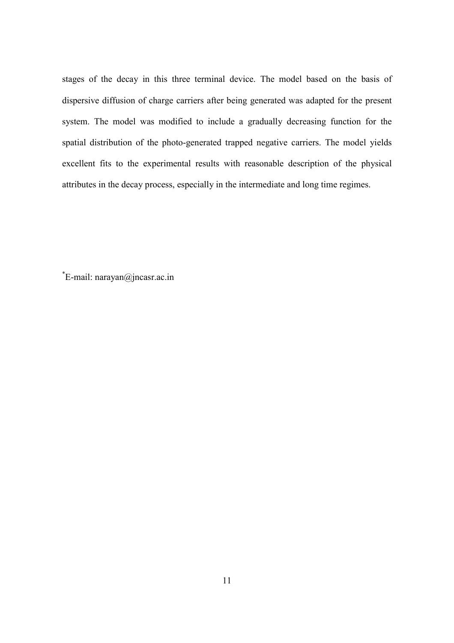stages of the decay in this three terminal device. The model based on the basis of dispersive diffusion of charge carriers after being generated was adapted for the present system. The model was modified to include a gradually decreasing function for the spatial distribution of the photo-generated trapped negative carriers. The model yields excellent fits to the experimental results with reasonable description of the physical attributes in the decay process, especially in the intermediate and long time regimes.

\* E-mail: narayan@jncasr.ac.in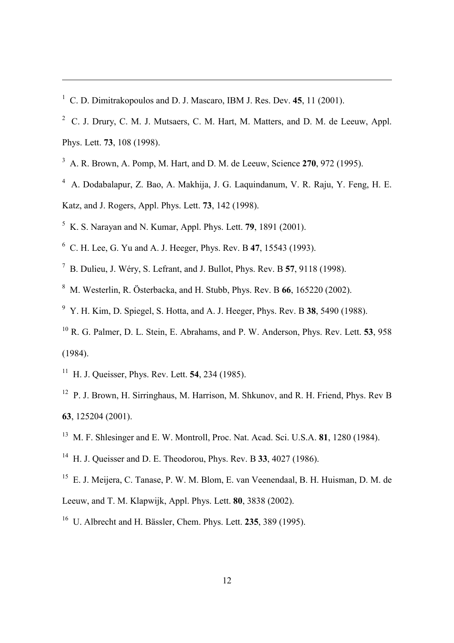C. D. Dimitrakopoulos and D. J. Mascaro, IBM J. Res. Dev. **45**, 11 (2001).

- <sup>2</sup> C. J. Drury, C. M. J. Mutsaers, C. M. Hart, M. Matters, and D. M. de Leeuw, Appl. Phys. Lett. **73**, 108 (1998).
- A. R. Brown, A. Pomp, M. Hart, and D. M. de Leeuw, Science **270**, 972 (1995).
- A. Dodabalapur, Z. Bao, A. Makhija, J. G. Laquindanum, V. R. Raju, Y. Feng, H. E. Katz, and J. Rogers, Appl. Phys. Lett. **73**, 142 (1998).
- K. S. Narayan and N. Kumar, Appl. Phys. Lett. **79**, 1891 (2001).
- C. H. Lee, G. Yu and A. J. Heeger, Phys. Rev. B **47**, 15543 (1993).
- B. Dulieu, J. Wéry, S. Lefrant, and J. Bullot, Phys. Rev. B **57**, 9118 (1998).
- M. Westerlin, R. Österbacka, and H. Stubb, Phys. Rev. B **66**, 165220 (2002).
- Y. H. Kim, D. Spiegel, S. Hotta, and A. J. Heeger, Phys. Rev. B **38**, 5490 (1988).
- <sup>10</sup> R. G. Palmer, D. L. Stein, E. Abrahams, and P. W. Anderson, Phys. Rev. Lett. **53**, 958 (1984).
- H. J. Queisser, Phys. Rev. Lett. **54**, 234 (1985).
- <sup>12</sup> P. J. Brown, H. Sirringhaus, M. Harrison, M. Shkunov, and R. H. Friend, Phys. Rev B , 125204 (2001).
- M. F. Shlesinger and E. W. Montroll, Proc. Nat. Acad. Sci. U.S.A. **81**, 1280 (1984).
- H. J. Queisser and D. E. Theodorou, Phys. Rev. B **33**, 4027 (1986).
- E. J. Meijera, C. Tanase, P. W. M. Blom, E. van Veenendaal, B. H. Huisman, D. M. de Leeuw, and T. M. Klapwijk, Appl. Phys. Lett. **80**, 3838 (2002).
- U. Albrecht and H. Bässler, Chem. Phys. Lett. **235**, 389 (1995).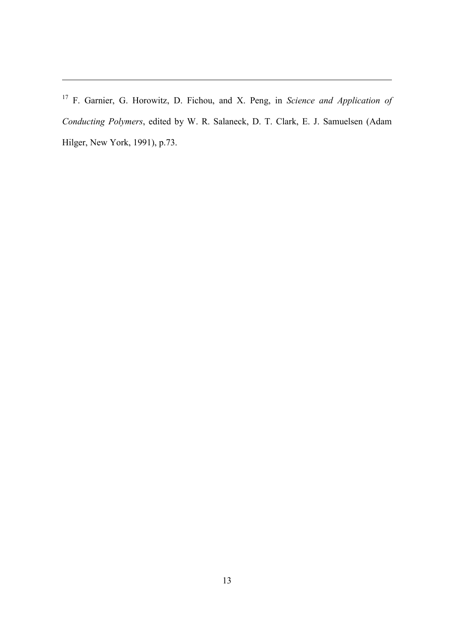<sup>17</sup> F. Garnier, G. Horowitz, D. Fichou, and X. Peng, in *Science and Application of Conducting Polymers*, edited by W. R. Salaneck, D. T. Clark, E. J. Samuelsen (Adam Hilger, New York, 1991), p.73.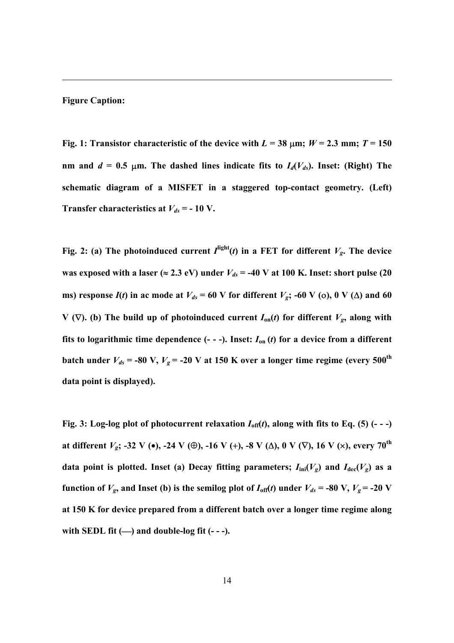## **Figure Caption:**

 $\overline{a}$ 

**Fig. 1: Transistor characteristic of the device with**  $L = 38 \text{ µm}$ **;**  $W = 2.3 \text{ mm}$ **;**  $T = 150$ nm and  $d = 0.5$   $\mu$ m. The dashed lines indicate fits to  $I_d(V_{ds})$ . Inset: (Right) The **schematic diagram of a MISFET in a staggered top-contact geometry. (Left) Transfer characteristics at**  $V_{ds}$  = - 10 V.

**Fig. 2:** (a) The photoinduced current  $I^{\text{light}}(t)$  in a FET for different  $V_g$ . The device was exposed with a laser ( $\approx$  2.3 eV) under  $V_{ds}$  = -40 V at 100 K. Inset: short pulse (20 **ms)** response  $I(t)$  in ac mode at  $V_{ds} = 60$  V for different  $V_g$ ; -60 V (0), 0 V ( $\Delta$ ) and 60 **V** ( $\nabla$ ). (b) The build up of photoinduced current  $I_{on}(t)$  for different  $V_{gs}$ , along with **fits to logarithmic time dependence (- - -). Inset:**  $I_{on}(t)$  for a device from a different **batch under**  $V_{ds}$  **= -80 V,**  $V_g$  **= -20 V at 150 K over a longer time regime (every 500<sup>th</sup>) data point is displayed).**

**Fig. 3:** Log-log plot of photocurrent relaxation  $I_{\text{off}}(t)$ , along with fits to Eq. (5) (- - -) **at different** *Vg***; -32 V (), -24 V (), -16 V (), -8 V (), 0 V (), 16 V ( ), every 70th data point is plotted. Inset (a) Decay fitting parameters;**  $I_{\text{ini}}(V_g)$  **and**  $I_{\text{dec}}(V_g)$  **as a function of**  $V_g$ **, and Inset (b) is the semilog plot of**  $I_{\text{off}}(t)$  **under**  $V_{ds}$  **= -80 V,**  $V_g$  **= -20 V at 150 K for device prepared from a different batch over a longer time regime along with SEDL fit ( ) and double-log fit (- - -).**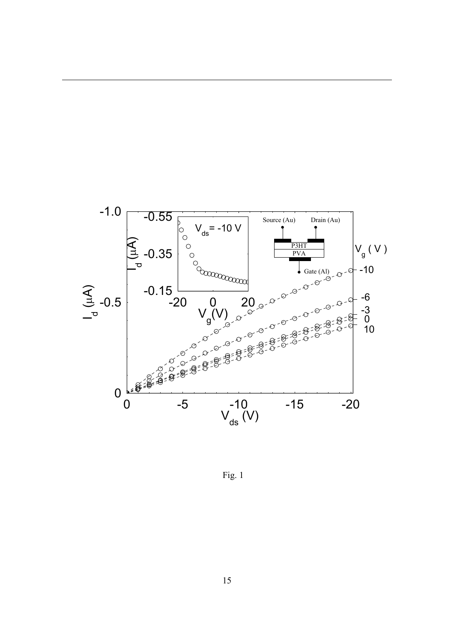

Fig. 1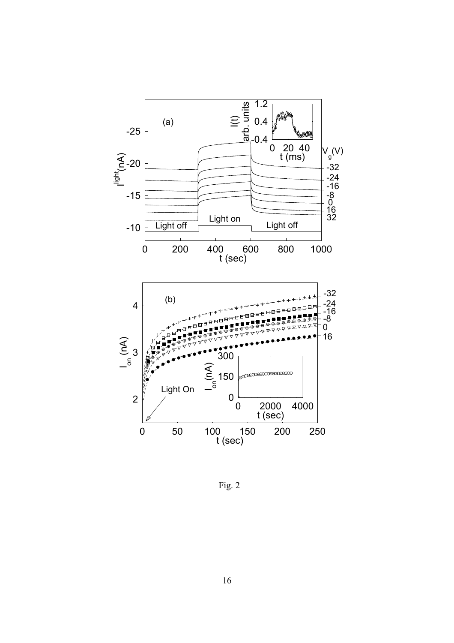

Fig. 2